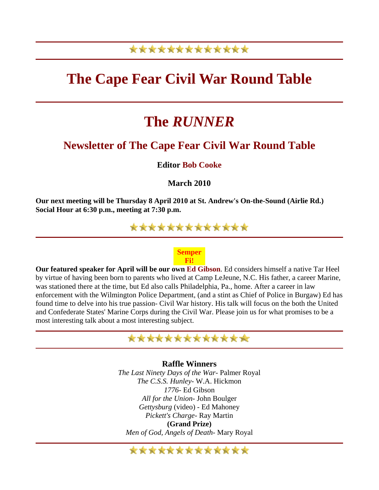### \*\*\*\*\*\*\*\*\*\*\*\*\*

## **The Cape Fear Civil War Round Table**

# **The** *RUNNER*

#### **Newsletter of The Cape Fear Civil War Round Table**

**Editor Bob Cooke**

**March 2010** 

**Our next meeting will be Thursday 8 April 2010 at St. Andrew's On-the-Sound (Airlie Rd.) Social Hour at 6:30 p.m., meeting at 7:30 p.m.**

\*\*\*\*\*\*\*\*\*\*\*\*\*

#### **Semper Fi!**

**Our featured speaker for April will be our own Ed Gibson**. Ed considers himself a native Tar Heel by virtue of having been born to parents who lived at Camp LeJeune, N.C. His father, a career Marine, was stationed there at the time, but Ed also calls Philadelphia, Pa., home. After a career in law enforcement with the Wilmington Police Department, (and a stint as Chief of Police in Burgaw) Ed has found time to delve into his true passion- Civil War history. His talk will focus on the both the United and Confederate States' Marine Corps during the Civil War. Please join us for what promises to be a most interesting talk about a most interesting subject.



**Raffle Winners**  *The Last Ninety Days of the War*- Palmer Royal *The C.S.S. Hunley*- W.A. Hickmon *1776*- Ed Gibson *All for the Union*- John Boulger *Gettysburg* (video) - Ed Mahoney *Pickett's Charge*- Ray Martin **(Grand Prize)**

*Men of God, Angels of Death*- Mary Royal

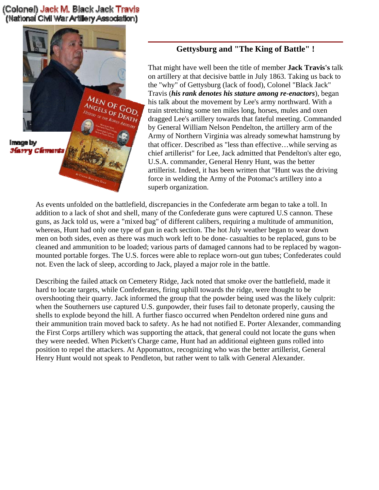(Colonel) Jack M. Black Jack Travis (National Civil War Artillery Association)



#### **Gettysburg and "The King of Battle" !**

That might have well been the title of member **Jack Travis's** t alk on artillery at that decisive battle in July 1863. Taking us back to the "why" of Gettysburg (lack of food), Colonel "Black Jack" Travis (*his rank denotes his stature among re-enactors*), began his talk about the movement by Lee's army northward. With a train stretching some ten miles long, horses, mules and oxen dragged Lee's artillery towards that fateful meeting. Comm anded by General William Nelson Pendelton, the artillery arm of the Army of Northern Virginia was already somewhat hamstrung b y that officer. Described as "less than effective…whi le serving as chief artillerist" for Lee, Jack admitted that Pendelton's alte r ego, U.S.A. commander, General Henry Hunt, was the better artillerist. Indeed, it has been written that "Hunt was the driving force in welding the Army of the Potomac's artillery into a superb organization.

As events unfolded on the battlefield, discrepancies in the Confederate arm began to take a toll. In addition to a lack of shot and shell, many of the Confederate guns were captured U.S cannon. These guns, as Jack told us, were a "mixed bag" of different calibers, requiring a multitude of ammunition, whereas, Hunt had only one type of gun in each section. The hot July weather began to wear down men on both sides, even as there was much work left to be done- casualties to be replaced, guns to be cleaned and ammunition to be loaded; various parts of damaged cannons had to be replaced by wagonmounted portable forges. The U.S. forces were able to replace worn-out gun tubes; Confederates could not. Even the lack of sleep, according to Jack, played a major role in the battle.

Describing the failed attack on Cemetery Ridge, Jack noted that smoke over the battlefield, made it hard to locate targets, while Confederates, firing uphill towards the ridge, were thought to be overshooting their quarry. Jack informed the group that the powder being used was the likely culprit: when the Southerners use captured U.S. gunpowder, their fuses fail to detonate properly, causing the shells to explode beyond the hill. A further fiasco occurred when Pendelton ordered nine guns and their ammunition train moved back to safety. As he had not notified E. Porter Alexander, commanding the First Corps artillery which was supporting the attack, that general could not locate the guns when they were needed. When Pickett's Charge came, Hunt had an additional eighteen guns rolled into position to repel the attackers. At Appomattox, recognizing who was the better artillerist, General Henry Hunt would not speak to Pendleton, but rather went to talk with General Alexander.